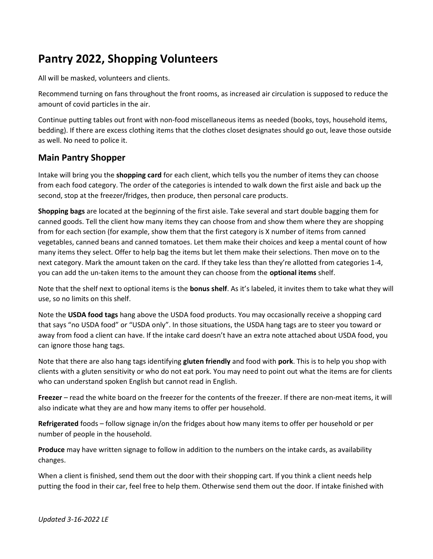# Pantry 2022, Shopping Volunteers

All will be masked, volunteers and clients.

Recommend turning on fans throughout the front rooms, as increased air circulation is supposed to reduce the amount of covid particles in the air.

Continue putting tables out front with non-food miscellaneous items as needed (books, toys, household items, bedding). If there are excess clothing items that the clothes closet designates should go out, leave those outside as well. No need to police it.

### Main Pantry Shopper

Intake will bring you the shopping card for each client, which tells you the number of items they can choose from each food category. The order of the categories is intended to walk down the first aisle and back up the second, stop at the freezer/fridges, then produce, then personal care products.

Shopping bags are located at the beginning of the first aisle. Take several and start double bagging them for canned goods. Tell the client how many items they can choose from and show them where they are shopping from for each section (for example, show them that the first category is X number of items from canned vegetables, canned beans and canned tomatoes. Let them make their choices and keep a mental count of how many items they select. Offer to help bag the items but let them make their selections. Then move on to the next category. Mark the amount taken on the card. If they take less than they're allotted from categories 1-4, you can add the un-taken items to the amount they can choose from the optional items shelf.

Note that the shelf next to optional items is the **bonus shelf**. As it's labeled, it invites them to take what they will use, so no limits on this shelf.

Note the USDA food tags hang above the USDA food products. You may occasionally receive a shopping card that says "no USDA food" or "USDA only". In those situations, the USDA hang tags are to steer you toward or away from food a client can have. If the intake card doesn't have an extra note attached about USDA food, you can ignore those hang tags.

Note that there are also hang tags identifying gluten friendly and food with pork. This is to help you shop with clients with a gluten sensitivity or who do not eat pork. You may need to point out what the items are for clients who can understand spoken English but cannot read in English.

Freezer – read the white board on the freezer for the contents of the freezer. If there are non-meat items, it will also indicate what they are and how many items to offer per household.

Refrigerated foods – follow signage in/on the fridges about how many items to offer per household or per number of people in the household.

Produce may have written signage to follow in addition to the numbers on the intake cards, as availability changes.

When a client is finished, send them out the door with their shopping cart. If you think a client needs help putting the food in their car, feel free to help them. Otherwise send them out the door. If intake finished with